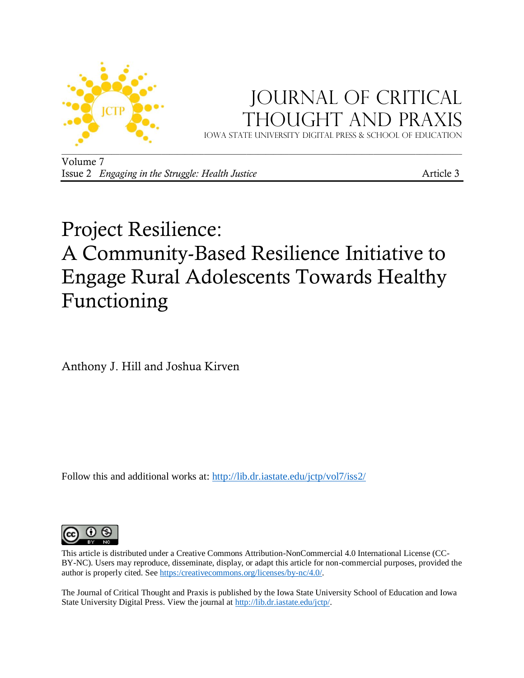

## JOURNAL OF CRITICAL Thought and Praxis

Iowa state university digital press & School of education

Volume 7 Issue 2 *Engaging in the Struggle: Health Justice* **Article 3 Article 3** 

# Project Resilience: A Community-Based Resilience Initiative to Engage Rural Adolescents Towards Healthy Functioning

Anthony J. Hill and Joshua Kirven

Follow this and additional works at: [http://lib.dr.iastate.edu/jctp/vol7/iss2/](http://lib.dr.iastate.edu/jctp/vol6/iss3/)



This article is distributed under a Creative Commons Attribution-NonCommercial 4.0 International License (CC-BY-NC). Users may reproduce, disseminate, display, or adapt this article for non-commercial purposes, provided the author is properly cited. See [https:/creativecommons.org/licenses/by-nc/4.0/.](https://creativecommons.org/licenses/by-nc/4.0/) 

The Journal of Critical Thought and Praxis is published by the Iowa State University School of Education and Iowa State University Digital Press. View the journal at [http://lib.dr.iastate.edu/jctp/.](http://lib.dr.iastate.edu/jctp/)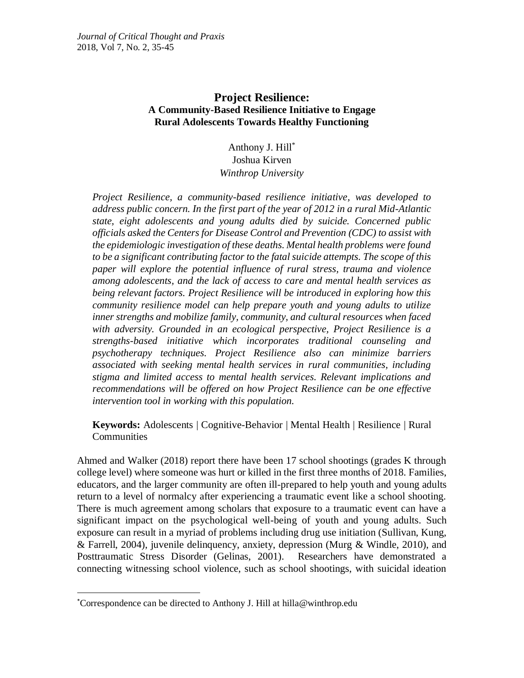## **Project Resilience: A Community-Based Resilience Initiative to Engage Rural Adolescents Towards Healthy Functioning**

Anthony J. Hill\* Joshua Kirven *Winthrop University*

*Project Resilience, a community-based resilience initiative, was developed to address public concern. In the first part of the year of 2012 in a rural Mid-Atlantic state, eight adolescents and young adults died by suicide. Concerned public officials asked the Centers for Disease Control and Prevention (CDC) to assist with the epidemiologic investigation of these deaths. Mental health problems were found to be a significant contributing factor to the fatal suicide attempts. The scope of this paper will explore the potential influence of rural stress, trauma and violence among adolescents, and the lack of access to care and mental health services as being relevant factors. Project Resilience will be introduced in exploring how this community resilience model can help prepare youth and young adults to utilize inner strengths and mobilize family, community, and cultural resources when faced with adversity. Grounded in an ecological perspective, Project Resilience is a strengths-based initiative which incorporates traditional counseling and psychotherapy techniques. Project Resilience also can minimize barriers associated with seeking mental health services in rural communities, including stigma and limited access to mental health services. Relevant implications and recommendations will be offered on how Project Resilience can be one effective intervention tool in working with this population.*

**Keywords:** Adolescents | Cognitive-Behavior | Mental Health | Resilience | Rural **Communities** 

Ahmed and Walker (2018) report there have been 17 school shootings (grades K through college level) where someone was hurt or killed in the first three months of 2018. Families, educators, and the larger community are often ill-prepared to help youth and young adults return to a level of normalcy after experiencing a traumatic event like a school shooting. There is much agreement among scholars that exposure to a traumatic event can have a significant impact on the psychological well-being of youth and young adults. Such exposure can result in a myriad of problems including drug use initiation (Sullivan, Kung, & Farrell, 2004), juvenile delinquency, anxiety, depression (Murg & Windle, 2010), and Posttraumatic Stress Disorder (Gelinas, 2001). Researchers have demonstrated a connecting witnessing school violence, such as school shootings, with suicidal ideation

 $\overline{a}$ 

<sup>\*</sup>Correspondence can be directed to Anthony J. Hill at hilla@winthrop.edu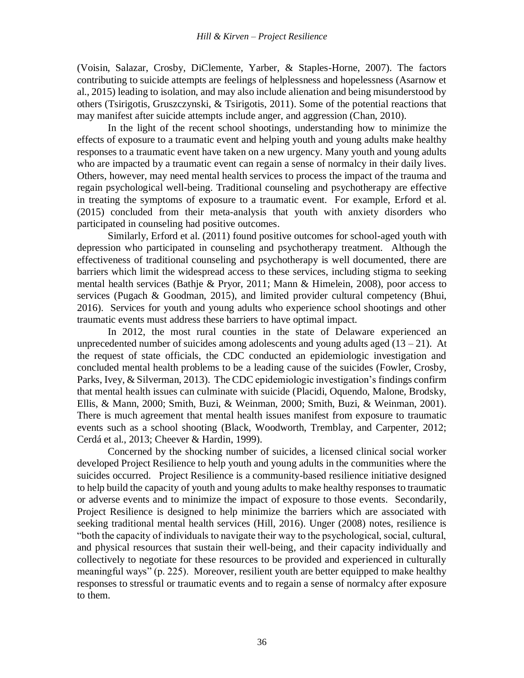(Voisin, Salazar, Crosby, DiClemente, Yarber, & Staples-Horne, 2007). The factors contributing to suicide attempts are feelings of helplessness and hopelessness (Asarnow et al., 2015) leading to isolation, and may also include alienation and being misunderstood by others (Tsirigotis, Gruszczynski, & Tsirigotis, 2011). Some of the potential reactions that may manifest after suicide attempts include anger, and aggression (Chan, 2010).

In the light of the recent school shootings, understanding how to minimize the effects of exposure to a traumatic event and helping youth and young adults make healthy responses to a traumatic event have taken on a new urgency. Many youth and young adults who are impacted by a traumatic event can regain a sense of normalcy in their daily lives. Others, however, may need mental health services to process the impact of the trauma and regain psychological well-being. Traditional counseling and psychotherapy are effective in treating the symptoms of exposure to a traumatic event. For example, Erford et al. (2015) concluded from their meta-analysis that youth with anxiety disorders who participated in counseling had positive outcomes.

Similarly, Erford et al. (2011) found positive outcomes for school-aged youth with depression who participated in counseling and psychotherapy treatment. Although the effectiveness of traditional counseling and psychotherapy is well documented, there are barriers which limit the widespread access to these services, including stigma to seeking mental health services (Bathje & Pryor, 2011; Mann & Himelein, 2008), poor access to services (Pugach & Goodman, 2015), and limited provider cultural competency (Bhui, 2016). Services for youth and young adults who experience school shootings and other traumatic events must address these barriers to have optimal impact.

In 2012, the most rural counties in the state of Delaware experienced an unprecedented number of suicides among adolescents and young adults aged  $(13 - 21)$ . At the request of state officials, the CDC conducted an epidemiologic investigation and concluded mental health problems to be a leading cause of the suicides (Fowler, Crosby, Parks, Ivey, & Silverman, 2013). The CDC epidemiologic investigation's findings confirm that mental health issues can culminate with suicide (Placidi, Oquendo, Malone, Brodsky, Ellis, & Mann, 2000; Smith, Buzi, & Weinman, 2000; Smith, Buzi, & Weinman, 2001). There is much agreement that mental health issues manifest from exposure to traumatic events such as a school shooting (Black, Woodworth, Tremblay, and Carpenter, 2012; Cerdá et al., 2013; Cheever & Hardin, 1999).

Concerned by the shocking number of suicides, a licensed clinical social worker developed Project Resilience to help youth and young adults in the communities where the suicides occurred. Project Resilience is a community-based resilience initiative designed to help build the capacity of youth and young adults to make healthy responses to traumatic or adverse events and to minimize the impact of exposure to those events. Secondarily, Project Resilience is designed to help minimize the barriers which are associated with seeking traditional mental health services (Hill, 2016). Unger (2008) notes, resilience is "both the capacity of individuals to navigate their way to the psychological, social, cultural, and physical resources that sustain their well-being, and their capacity individually and collectively to negotiate for these resources to be provided and experienced in culturally meaningful ways" (p. 225). Moreover, resilient youth are better equipped to make healthy responses to stressful or traumatic events and to regain a sense of normalcy after exposure to them.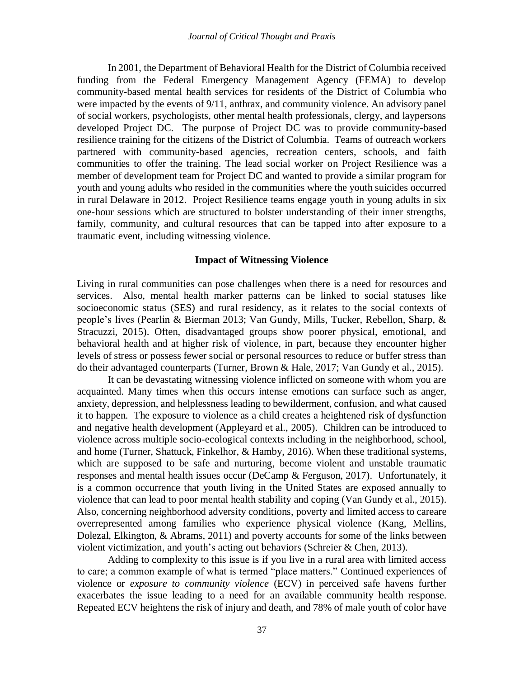In 2001, the Department of Behavioral Health for the District of Columbia received funding from the Federal Emergency Management Agency (FEMA) to develop community-based mental health services for residents of the District of Columbia who were impacted by the events of 9/11, anthrax, and community violence. An advisory panel of social workers, psychologists, other mental health professionals, clergy, and laypersons developed Project DC. The purpose of Project DC was to provide community-based resilience training for the citizens of the District of Columbia. Teams of outreach workers partnered with community-based agencies, recreation centers, schools, and faith communities to offer the training. The lead social worker on Project Resilience was a member of development team for Project DC and wanted to provide a similar program for youth and young adults who resided in the communities where the youth suicides occurred in rural Delaware in 2012. Project Resilience teams engage youth in young adults in six one-hour sessions which are structured to bolster understanding of their inner strengths, family, community, and cultural resources that can be tapped into after exposure to a traumatic event, including witnessing violence.

#### **Impact of Witnessing Violence**

Living in rural communities can pose challenges when there is a need for resources and services. Also, mental health marker patterns can be linked to social statuses like socioeconomic status (SES) and rural residency, as it relates to the social contexts of people's lives (Pearlin & Bierman 2013; Van Gundy, Mills, Tucker, Rebellon, Sharp, & Stracuzzi, 2015). Often, disadvantaged groups show poorer physical, emotional, and behavioral health and at higher risk of violence, in part, because they encounter higher levels of stress or possess fewer social or personal resources to reduce or buffer stress than do their advantaged counterparts (Turner, Brown & Hale, 2017; Van Gundy et al., 2015).

It can be devastating witnessing violence inflicted on someone with whom you are acquainted. Many times when this occurs intense emotions can surface such as anger, anxiety, depression, and helplessness leading to bewilderment, confusion, and what caused it to happen. The exposure to violence as a child creates a heightened risk of dysfunction and negative health development (Appleyard et al., 2005). Children can be introduced to violence across multiple socio-ecological contexts including in the neighborhood, school, and home (Turner, Shattuck, Finkelhor, & Hamby, 2016). When these traditional systems, which are supposed to be safe and nurturing, become violent and unstable traumatic responses and mental health issues occur (DeCamp & Ferguson, 2017). Unfortunately, it is a common occurrence that youth living in the United States are exposed annually to violence that can lead to poor mental health stability and coping (Van Gundy et al., 2015). Also, concerning neighborhood adversity conditions, poverty and limited access to careare overrepresented among families who experience physical violence (Kang, Mellins, Dolezal, Elkington, & Abrams, 2011) and poverty accounts for some of the links between violent victimization, and youth's acting out behaviors (Schreier & Chen, 2013).

Adding to complexity to this issue is if you live in a rural area with limited access to care; a common example of what is termed "place matters." Continued experiences of violence or *exposure to community violence* (ECV) in perceived safe havens further exacerbates the issue leading to a need for an available community health response. Repeated ECV heightens the risk of injury and death, and 78% of male youth of color have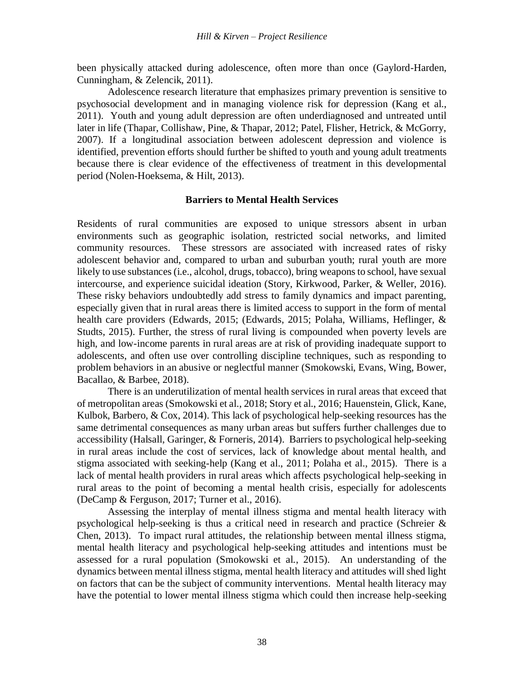been physically attacked during adolescence, often more than once (Gaylord-Harden, Cunningham, & Zelencik, 2011).

Adolescence research literature that emphasizes [primary prevention](https://www.sciencedirect.com/topics/medicine-and-dentistry/primary-prevention) is sensitive to psychosocial development and in managing violence risk for depression (Kang et al., 2011). Youth and young adult depression are often underdiagnosed and untreated until later in life (Thapar, Collishaw, Pine, & Thapar, 2012; Patel, Flisher, Hetrick, & McGorry, 2007). If a longitudinal association between adolescent depression and violence is identified, prevention efforts should further be shifted to youth and young adult treatments because there is clear evidence of the effectiveness of treatment in this developmental period (Nolen-Hoeksema, & Hilt, 2013).

#### **Barriers to Mental Health Services**

Residents of rural communities are exposed to unique stressors absent in urban environments such as geographic isolation, restricted social networks, and limited community resources. These stressors are associated with increased rates of risky adolescent behavior and, compared to urban and suburban youth; rural youth are more likely to use substances (i.e., alcohol, drugs, tobacco), bring weapons to school, have sexual intercourse, and experience suicidal ideation (Story, Kirkwood, Parker, & Weller, 2016). These risky behaviors undoubtedly add stress to family dynamics and impact parenting, especially given that in rural areas there is limited access to support in the form of mental health care providers (Edwards, 2015; (Edwards, 2015; Polaha, Williams, Heflinger, & Studts, 2015). Further, the stress of rural living is compounded when poverty levels are high, and low-income parents in rural areas are at risk of providing inadequate support to adolescents, and often use over controlling discipline techniques, such as responding to problem behaviors in an abusive or neglectful manner (Smokowski, Evans, Wing, Bower, Bacallao, & Barbee, 2018).

There is an underutilization of mental health services in rural areas that exceed that of metropolitan areas (Smokowski et al., 2018; Story et al., 2016; Hauenstein, Glick, Kane, Kulbok, Barbero, & Cox, 2014). This lack of psychological help-seeking resources has the same detrimental consequences as many urban areas but suffers further challenges due to accessibility (Halsall, Garinger, & Forneris, 2014). Barriers to psychological help-seeking in rural areas include the cost of services, lack of knowledge about mental health, and stigma associated with seeking-help (Kang et al., 2011; Polaha et al., 2015). There is a lack of mental health providers in rural areas which affects psychological help-seeking in rural areas to the point of becoming a mental health crisis, especially for adolescents (DeCamp & Ferguson, 2017; Turner et al., 2016).

Assessing the interplay of mental illness stigma and mental health literacy with psychological help-seeking is thus a critical need in research and practice (Schreier  $\&$ Chen, 2013). To impact rural attitudes, the relationship between mental illness stigma, mental health literacy and psychological help-seeking attitudes and intentions must be assessed for a rural population (Smokowski et al., 2015). An understanding of the dynamics between mental illness stigma, mental health literacy and attitudes will shed light on factors that can be the subject of community interventions. Mental health literacy may have the potential to lower mental illness stigma which could then increase help-seeking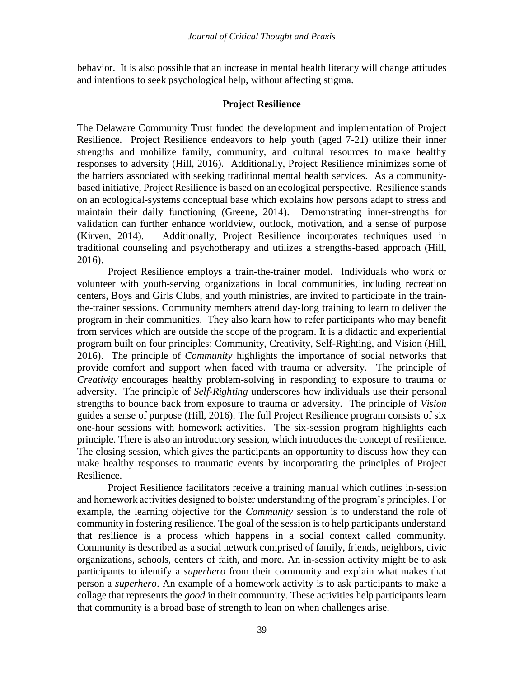behavior. It is also possible that an increase in mental health literacy will change attitudes and intentions to seek psychological help, without affecting stigma.

## **Project Resilience**

The Delaware Community Trust funded the development and implementation of Project Resilience. Project Resilience endeavors to help youth (aged 7-21) utilize their inner strengths and mobilize family, community, and cultural resources to make healthy responses to adversity (Hill, 2016). Additionally, Project Resilience minimizes some of the barriers associated with seeking traditional mental health services. As a communitybased initiative, Project Resilience is based on an ecological perspective. Resilience stands on an ecological-systems conceptual base which explains how persons adapt to stress and maintain their daily functioning (Greene, 2014). Demonstrating inner-strengths for validation can further enhance worldview, outlook, motivation, and a sense of purpose (Kirven, 2014). Additionally, Project Resilience incorporates techniques used in traditional counseling and psychotherapy and utilizes a strengths-based approach (Hill, 2016).

Project Resilience employs a train-the-trainer model. Individuals who work or volunteer with youth-serving organizations in local communities, including recreation centers, Boys and Girls Clubs, and youth ministries, are invited to participate in the trainthe-trainer sessions. Community members attend day-long training to learn to deliver the program in their communities. They also learn how to refer participants who may benefit from services which are outside the scope of the program. It is a didactic and experiential program built on four principles: Community, Creativity, Self-Righting, and Vision (Hill, 2016). The principle of *Community* highlights the importance of social networks that provide comfort and support when faced with trauma or adversity. The principle of *Creativity* encourages healthy problem-solving in responding to exposure to trauma or adversity. The principle of *Self-Righting* underscores how individuals use their personal strengths to bounce back from exposure to trauma or adversity. The principle of *Vision*  guides a sense of purpose (Hill, 2016). The full Project Resilience program consists of six one-hour sessions with homework activities. The six-session program highlights each principle. There is also an introductory session, which introduces the concept of resilience. The closing session, which gives the participants an opportunity to discuss how they can make healthy responses to traumatic events by incorporating the principles of Project Resilience.

Project Resilience facilitators receive a training manual which outlines in-session and homework activities designed to bolster understanding of the program's principles. For example, the learning objective for the *Community* session is to understand the role of community in fostering resilience. The goal of the session is to help participants understand that resilience is a process which happens in a social context called community. Community is described as a social network comprised of family, friends, neighbors, civic organizations, schools, centers of faith, and more. An in-session activity might be to ask participants to identify a *superhero* from their community and explain what makes that person a *superhero*. An example of a homework activity is to ask participants to make a collage that represents the *good* in their community. These activities help participants learn that community is a broad base of strength to lean on when challenges arise.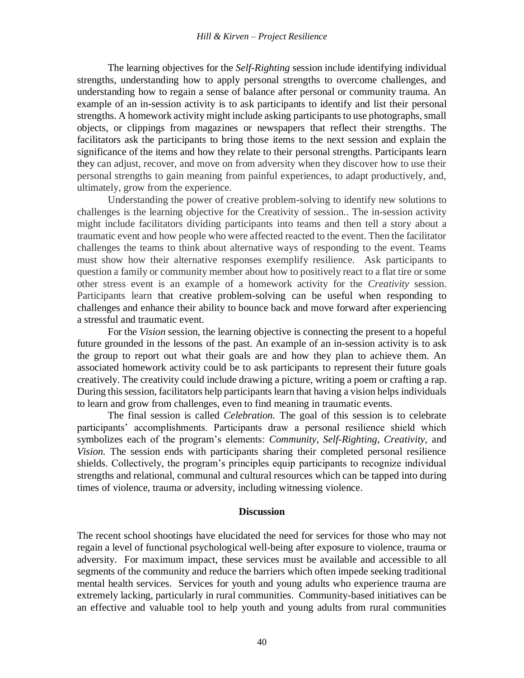The learning objectives for the *Self-Righting* session include identifying individual strengths, understanding how to apply personal strengths to overcome challenges, and understanding how to regain a sense of balance after personal or community trauma. An example of an in-session activity is to ask participants to identify and list their personal strengths. A homework activity might include asking participants to use photographs, small objects, or clippings from magazines or newspapers that reflect their strengths. The facilitators ask the participants to bring those items to the next session and explain the significance of the items and how they relate to their personal strengths. Participants learn they can adjust, recover, and move on from adversity when they discover how to use their personal strengths to gain meaning from painful experiences, to adapt productively, and, ultimately, grow from the experience.

Understanding the power of creative problem-solving to identify new solutions to challenges is the learning objective for the Creativity of session.. The in-session activity might include facilitators dividing participants into teams and then tell a story about a traumatic event and how people who were affected reacted to the event. Then the facilitator challenges the teams to think about alternative ways of responding to the event. Teams must show how their alternative responses exemplify resilience. Ask participants to question a family or community member about how to positively react to a flat tire or some other stress event is an example of a homework activity for the *Creativity* session. Participants learn that creative problem-solving can be useful when responding to challenges and enhance their ability to bounce back and move forward after experiencing a stressful and traumatic event.

For the *Vision* session, the learning objective is connecting the present to a hopeful future grounded in the lessons of the past. An example of an in-session activity is to ask the group to report out what their goals are and how they plan to achieve them. An associated homework activity could be to ask participants to represent their future goals creatively. The creativity could include drawing a picture, writing a poem or crafting a rap. During this session, facilitators help participants learn that having a vision helps individuals to learn and grow from challenges, even to find meaning in traumatic events.

The final session is called *Celebration.* The goal of this session is to celebrate participants' accomplishments. Participants draw a personal resilience shield which symbolizes each of the program's elements: *Community*, *Self-Righting*, *Creativity*, and *Vision.* The session ends with participants sharing their completed personal resilience shields. Collectively, the program's principles equip participants to recognize individual strengths and relational, communal and cultural resources which can be tapped into during times of violence, trauma or adversity, including witnessing violence.

#### **Discussion**

The recent school shootings have elucidated the need for services for those who may not regain a level of functional psychological well-being after exposure to violence, trauma or adversity. For maximum impact, these services must be available and accessible to all segments of the community and reduce the barriers which often impede seeking traditional mental health services. Services for youth and young adults who experience trauma are extremely lacking, particularly in rural communities. Community-based initiatives can be an effective and valuable tool to help youth and young adults from rural communities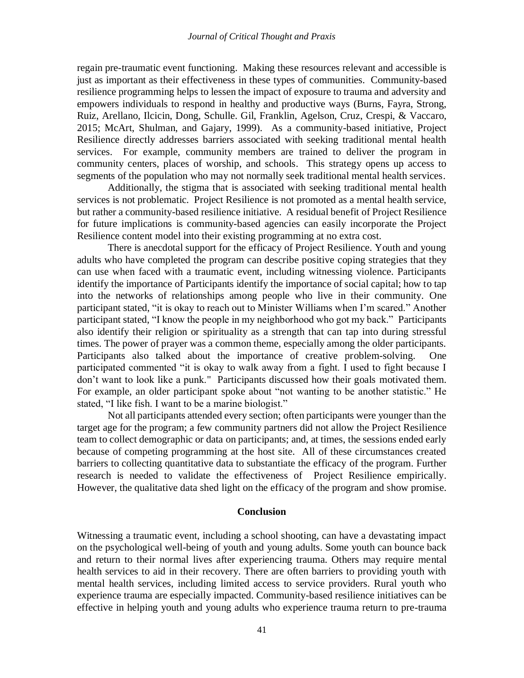regain pre-traumatic event functioning. Making these resources relevant and accessible is just as important as their effectiveness in these types of communities. Community-based resilience programming helps to lessen the impact of exposure to trauma and adversity and empowers individuals to respond in healthy and productive ways (Burns, Fayra, Strong, Ruiz, Arellano, Ilcicin, Dong, Schulle. Gil, Franklin, Agelson, Cruz, Crespi, & Vaccaro, 2015; McArt, Shulman, and Gajary, 1999). As a community-based initiative, Project Resilience directly addresses barriers associated with seeking traditional mental health services. For example, community members are trained to deliver the program in community centers, places of worship, and schools. This strategy opens up access to segments of the population who may not normally seek traditional mental health services.

Additionally, the stigma that is associated with seeking traditional mental health services is not problematic. Project Resilience is not promoted as a mental health service, but rather a community-based resilience initiative. A residual benefit of Project Resilience for future implications is community-based agencies can easily incorporate the Project Resilience content model into their existing programming at no extra cost.

There is anecdotal support for the efficacy of Project Resilience. Youth and young adults who have completed the program can describe positive coping strategies that they can use when faced with a traumatic event, including witnessing violence. Participants identify the importance of Participants identify the importance of social capital; how to tap into the networks of relationships among people who live in their community. One participant stated, "it is okay to reach out to Minister Williams when I'm scared." Another participant stated, "I know the people in my neighborhood who got my back." Participants also identify their religion or spirituality as a strength that can tap into during stressful times. The power of prayer was a common theme, especially among the older participants. Participants also talked about the importance of creative problem-solving. participated commented "it is okay to walk away from a fight. I used to fight because I don't want to look like a punk." Participants discussed how their goals motivated them. For example, an older participant spoke about "not wanting to be another statistic." He stated, "I like fish. I want to be a marine biologist."

Not all participants attended every section; often participants were younger than the target age for the program; a few community partners did not allow the Project Resilience team to collect demographic or data on participants; and, at times, the sessions ended early because of competing programming at the host site. All of these circumstances created barriers to collecting quantitative data to substantiate the efficacy of the program. Further research is needed to validate the effectiveness of Project Resilience empirically. However, the qualitative data shed light on the efficacy of the program and show promise.

#### **Conclusion**

Witnessing a traumatic event, including a school shooting, can have a devastating impact on the psychological well-being of youth and young adults. Some youth can bounce back and return to their normal lives after experiencing trauma. Others may require mental health services to aid in their recovery. There are often barriers to providing youth with mental health services, including limited access to service providers. Rural youth who experience trauma are especially impacted. Community-based resilience initiatives can be effective in helping youth and young adults who experience trauma return to pre-trauma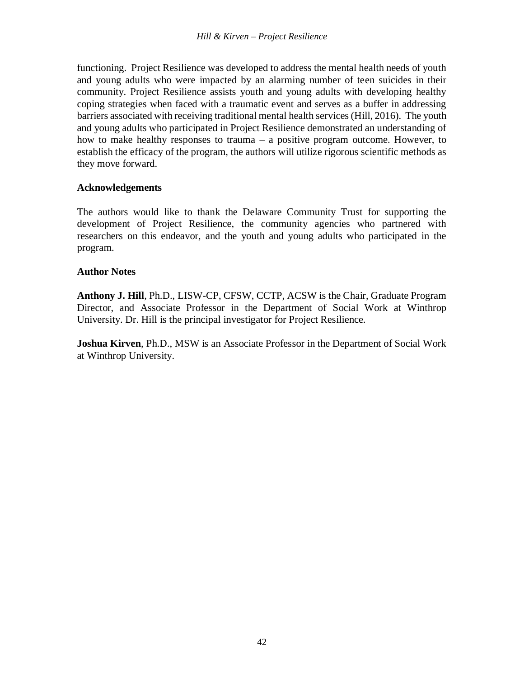functioning. Project Resilience was developed to address the mental health needs of youth and young adults who were impacted by an alarming number of teen suicides in their community. Project Resilience assists youth and young adults with developing healthy coping strategies when faced with a traumatic event and serves as a buffer in addressing barriers associated with receiving traditional mental health services (Hill, 2016). The youth and young adults who participated in Project Resilience demonstrated an understanding of how to make healthy responses to trauma – a positive program outcome. However, to establish the efficacy of the program, the authors will utilize rigorous scientific methods as they move forward.

### **Acknowledgements**

The authors would like to thank the Delaware Community Trust for supporting the development of Project Resilience, the community agencies who partnered with researchers on this endeavor, and the youth and young adults who participated in the program.

## **Author Notes**

**Anthony J. Hill**, Ph.D., LISW-CP, CFSW, CCTP, ACSW is the Chair, Graduate Program Director, and Associate Professor in the Department of Social Work at Winthrop University. Dr. Hill is the principal investigator for Project Resilience.

**Joshua Kirven**, Ph.D., MSW is an Associate Professor in the Department of Social Work at Winthrop University.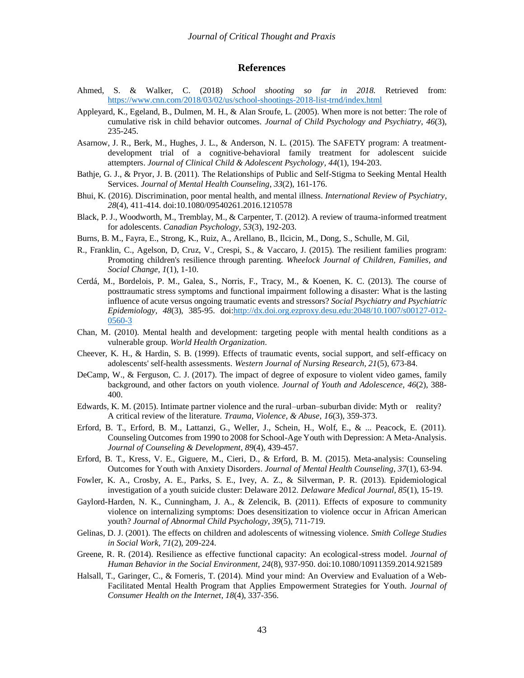#### **References**

- Ahmed, S. & Walker, C. (2018) *School shooting so far in 2018.* Retrieved from: <https://www.cnn.com/2018/03/02/us/school-shootings-2018-list-trnd/index.html>
- Appleyard, K., Egeland, B., Dulmen, M. H., & Alan Sroufe, L. (2005). When more is not better: The role of cumulative risk in child behavior outcomes. *Journal of Child Psychology and Psychiatry*, *46*(3), 235-245.
- Asarnow, J. R., Berk, M., Hughes, J. L., & Anderson, N. L. (2015). The SAFETY program: A treatmentdevelopment trial of a cognitive-behavioral family treatment for adolescent suicide attempters. *Journal of Clinical Child & Adolescent Psychology*, *44*(1), 194-203.
- Bathje, G. J., & Pryor, J. B. (2011). The Relationships of Public and Self-Stigma to Seeking Mental Health Services. *Journal of Mental Health Counseling*, *33*(2), 161-176.
- Bhui, K. (2016). Discrimination, poor mental health, and mental illness. *International Review of Psychiatry*, *28*(4), 411-414. doi:10.1080/09540261.2016.1210578
- Black, P. J., Woodworth, M., Tremblay, M., & Carpenter, T. (2012). A review of trauma-informed treatment for adolescents. *Canadian Psychology, 53*(3), 192-203.
- Burns, B. M., Fayra, E., Strong, K., Ruiz, A., Arellano, B., Ilcicin, M., Dong, S., Schulle, M. Gil,
- R., Franklin, C., Agelson, D, Cruz, V., Crespi, S., & Vaccaro, J. (2015). The resilient families program: Promoting children's resilience through parenting. *Wheelock Journal of Children, Families, and Social Change, 1*(1), 1-10.
- Cerdá, M., Bordelois, P. M., Galea, S., Norris, F., Tracy, M., & Koenen, K. C. (2013). The course of posttraumatic stress symptoms and functional impairment following a disaster: What is the lasting influence of acute versus ongoing traumatic events and stressors? *Social Psychiatry and Psychiatric Epidemiology, 48*(3), 385-95. doi[:http://dx.doi.org.ezproxy.desu.edu:2048/10.1007/s00127-012-](http://dx.doi.org.ezproxy.desu.edu:2048/10.1007/s00127-012-0560-3) [0560-3](http://dx.doi.org.ezproxy.desu.edu:2048/10.1007/s00127-012-0560-3)
- Chan, M. (2010). Mental health and development: targeting people with mental health conditions as a vulnerable group. *World Health Organization*.
- Cheever, K. H., & Hardin, S. B. (1999). Effects of traumatic events, social support, and self-efficacy on adolescents' self-health assessments. *Western Journal of Nursing Research, 21*(5), 673-84.
- DeCamp, W., & Ferguson, C. J. (2017). The impact of degree of exposure to violent video games, family background, and other factors on youth violence. *Journal of Youth and Adolescence*, *46*(2), 388- 400.
- Edwards, K. M. (2015). Intimate partner violence and the rural–urban–suburban divide: Myth or reality? A critical review of the literature. *Trauma, Violence, & Abuse*, *16*(3), 359-373.
- Erford, B. T., Erford, B. M., Lattanzi, G., Weller, J., Schein, H., Wolf, E., & ... Peacock, E. (2011). Counseling Outcomes from 1990 to 2008 for School-Age Youth with Depression: A Meta-Analysis. *Journal of Counseling & Development*, *89*(4), 439-457.
- Erford, B. T., Kress, V. E., Giguere, M., Cieri, D., & Erford, B. M. (2015). Meta-analysis: Counseling Outcomes for Youth with Anxiety Disorders. *Journal of Mental Health Counseling*, *37*(1), 63-94.
- Fowler, K. A., Crosby, A. E., Parks, S. E., Ivey, A. Z., & Silverman, P. R. (2013). Epidemiological investigation of a youth suicide cluster: Delaware 2012. *Delaware Medical Journal, 85*(1), 15-19.
- Gaylord-Harden, N. K., Cunningham, J. A., & Zelencik, B. (2011). Effects of exposure to community violence on internalizing symptoms: Does desensitization to violence occur in African American youth? *Journal of Abnormal Child Psychology*, *39*(5), 711-719.
- Gelinas, D. J. (2001). The effects on children and adolescents of witnessing violence. *Smith College Studies in Social Work, 71*(2), 209-224.
- Greene, R. R. (2014). Resilience as effective functional capacity: An ecological-stress model. *Journal of Human Behavior in the Social Environment, 24*(8), 937-950. doi:10.1080/10911359.2014.921589
- Halsall, T., Garinger, C., & Forneris, T. (2014). Mind your mind: An Overview and Evaluation of a Web-Facilitated Mental Health Program that Applies Empowerment Strategies for Youth. *Journal of Consumer Health on the Internet*, *18*(4), 337-356.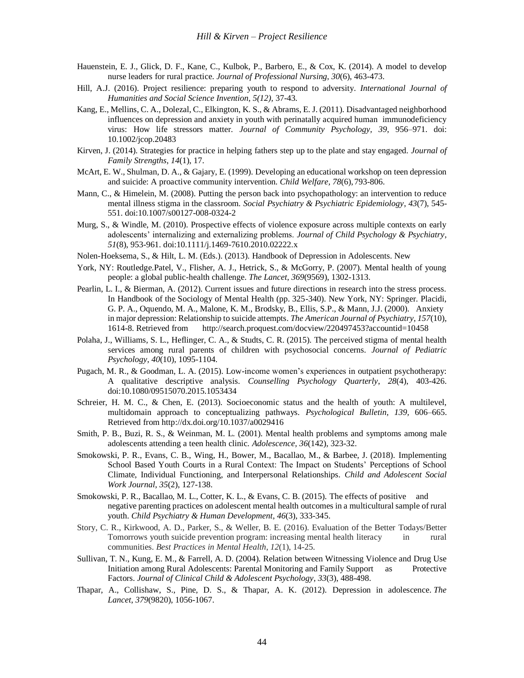- Hauenstein, E. J., Glick, D. F., Kane, C., Kulbok, P., Barbero, E., & Cox, K. (2014). A model to develop nurse leaders for rural practice. *Journal of Professional Nursing*, *30*(6), 463-473.
- Hill, A.J. (2016). Project resilience: preparing youth to respond to adversity. *International Journal of Humanities and Social Science Invention, 5(12),* 37-43*.*
- Kang, E., Mellins, C. A., Dolezal, C., Elkington, K. S., & Abrams, E. J. (2011). Disadvantaged neighborhood influences on depression and anxiety in youth with perinatally acquired human immunodeficiency virus: How life stressors matter. *Journal of Community Psychology, 39*, 956–971. doi: 10.1002/jcop.20483
- Kirven, J. (2014). Strategies for practice in helping fathers step up to the plate and stay engaged. *Journal of Family Strengths*, *14*(1), 17.
- McArt, E. W., Shulman, D. A., & Gajary, E. (1999). Developing an educational workshop on teen depression and suicide: A proactive community intervention. *Child Welfare, 78*(6), 793-806.
- Mann, C., & Himelein, M. (2008). Putting the person back into psychopathology: an intervention to reduce mental illness stigma in the classroom. *Social Psychiatry & Psychiatric Epidemiology*, *43*(7), 545- 551. doi:10.1007/s00127-008-0324-2
- Murg, S., & Windle, M. (2010). Prospective effects of violence exposure across multiple contexts on early adolescents' internalizing and externalizing problems. *Journal of Child Psychology & Psychiatry*, *51*(8), 953-961. doi:10.1111/j.1469-7610.2010.02222.x
- Nolen-Hoeksema, S., & Hilt, L. M. (Eds.). (2013). Handbook of Depression in Adolescents. New
- York, NY: Routledge.Patel, V., Flisher, A. J., Hetrick, S., & McGorry, P. (2007). Mental health of young people: a global public-health challenge. *The Lancet*, *369*(9569), 1302-1313.
- Pearlin, L. I., & Bierman, A. (2012). Current issues and future directions in research into the stress process. In Handbook of the Sociology of Mental Health (pp. 325-340). New York, NY: Springer. Placidi, G. P. A., Oquendo, M. A., Malone, K. M., Brodsky, B., Ellis, S.P., & Mann, J.J. (2000). Anxiety in major depression: Relationship to suicide attempts. *The American Journal of Psychiatry, 157*(10), 1614-8. Retrieved from http://search.proquest.com/docview/220497453?accountid=10458
- Polaha, J., Williams, S. L., Heflinger, C. A., & Studts, C. R. (2015). The perceived stigma of mental health services among rural parents of children with psychosocial concerns. *Journal of Pediatric Psychology*, *40*(10), 1095-1104.
- Pugach, M. R., & Goodman, L. A. (2015). Low-income women's experiences in outpatient psychotherapy: A qualitative descriptive analysis. *Counselling Psychology Quarterly*, *28*(4), 403-426. doi:10.1080/09515070.2015.1053434
- Schreier, H. M. C., & Chen, E. (2013). Socioeconomic status and the health of youth: A multilevel, multidomain approach to conceptualizing pathways. *Psychological Bulletin, 139,* 606–665. Retrieved from http://dx.doi.org/10.1037/a0029416
- Smith, P. B., Buzi, R. S., & Weinman, M. L. (2001). Mental health problems and symptoms among male adolescents attending a teen health clinic. *Adolescence, 36*(142), 323-32.
- Smokowski, P. R., Evans, C. B., Wing, H., Bower, M., Bacallao, M., & Barbee, J. (2018). Implementing School Based Youth Courts in a Rural Context: The Impact on Students' Perceptions of School Climate, Individual Functioning, and Interpersonal Relationships. *Child and Adolescent Social Work Journal*, *35*(2), 127-138.
- Smokowski, P. R., Bacallao, M. L., Cotter, K. L., & Evans, C. B. (2015). The effects of positive and negative parenting practices on adolescent mental health outcomes in a multicultural sample of rural youth. *Child Psychiatry & Human Development*, *46*(3), 333-345.
- Story, C. R., Kirkwood, A. D., Parker, S., & Weller, B. E. (2016). Evaluation of the Better Todays/Better Tomorrows youth suicide prevention program: increasing mental health literacy in rural communities. *Best Practices in Mental Health*, *12*(1), 14-25.
- Sullivan, T. N., Kung, E. M., & Farrell, A. D. (2004). Relation between Witnessing Violence and Drug Use Initiation among Rural Adolescents: Parental Monitoring and Family Support as Protective Factors. *Journal of Clinical Child & Adolescent Psychology*, *33*(3), 488-498.
- Thapar, A., Collishaw, S., Pine, D. S., & Thapar, A. K. (2012). Depression in adolescence. *The Lancet*, *379*(9820), 1056-1067.